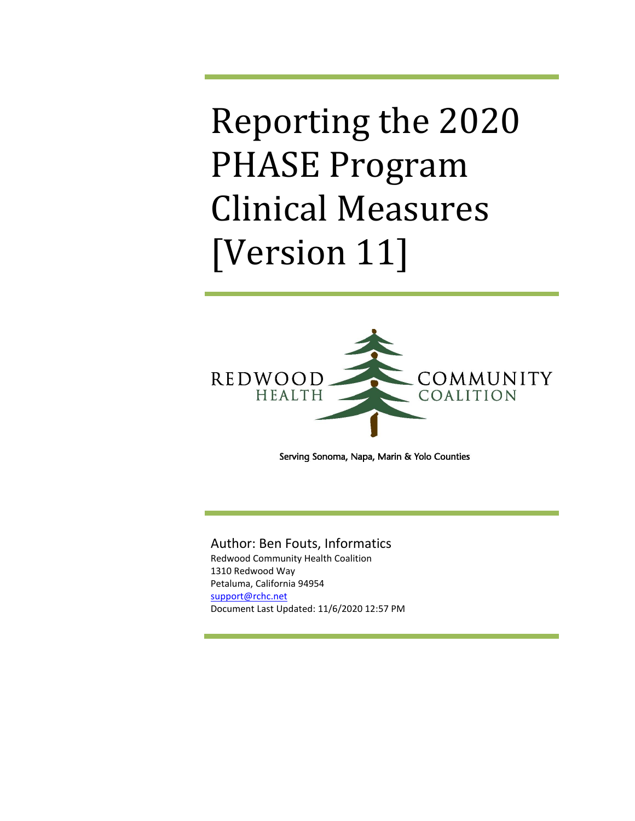# Reporting the 2020 PHASE Program Clinical Measures [Version 11]



Serving Sonoma, Napa, Marin & Yolo Counties

## Author: Ben Fouts, Informatics

Redwood Community Health Coalition 1310 Redwood Way Petaluma, California 94954 support@rchc.net Document Last Updated: 11/6/2020 12:57 PM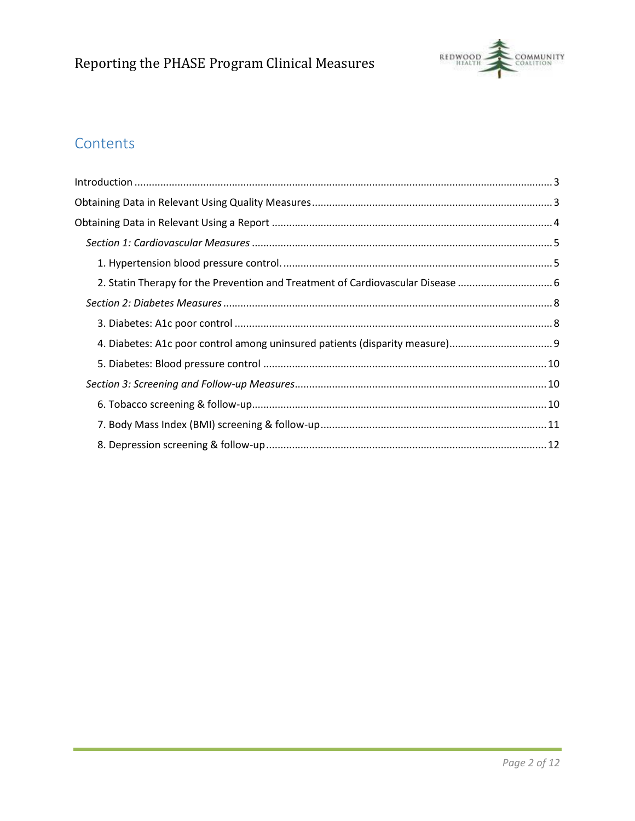

## Contents

| 2. Statin Therapy for the Prevention and Treatment of Cardiovascular Disease |
|------------------------------------------------------------------------------|
|                                                                              |
|                                                                              |
|                                                                              |
|                                                                              |
|                                                                              |
|                                                                              |
|                                                                              |
|                                                                              |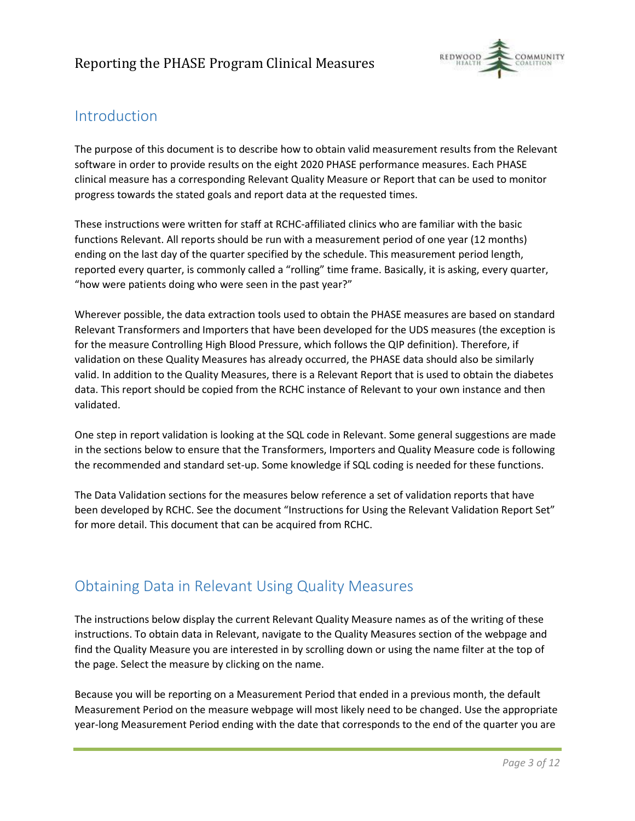

## Introduction

The purpose of this document is to describe how to obtain valid measurement results from the Relevant software in order to provide results on the eight 2020 PHASE performance measures. Each PHASE clinical measure has a corresponding Relevant Quality Measure or Report that can be used to monitor progress towards the stated goals and report data at the requested times.

These instructions were written for staff at RCHC-affiliated clinics who are familiar with the basic functions Relevant. All reports should be run with a measurement period of one year (12 months) ending on the last day of the quarter specified by the schedule. This measurement period length, reported every quarter, is commonly called a "rolling" time frame. Basically, it is asking, every quarter, "how were patients doing who were seen in the past year?"

Wherever possible, the data extraction tools used to obtain the PHASE measures are based on standard Relevant Transformers and Importers that have been developed for the UDS measures (the exception is for the measure Controlling High Blood Pressure, which follows the QIP definition). Therefore, if validation on these Quality Measures has already occurred, the PHASE data should also be similarly valid. In addition to the Quality Measures, there is a Relevant Report that is used to obtain the diabetes data. This report should be copied from the RCHC instance of Relevant to your own instance and then validated.

One step in report validation is looking at the SQL code in Relevant. Some general suggestions are made in the sections below to ensure that the Transformers, Importers and Quality Measure code is following the recommended and standard set-up. Some knowledge if SQL coding is needed for these functions.

The Data Validation sections for the measures below reference a set of validation reports that have been developed by RCHC. See the document "Instructions for Using the Relevant Validation Report Set" for more detail. This document that can be acquired from RCHC.

## Obtaining Data in Relevant Using Quality Measures

The instructions below display the current Relevant Quality Measure names as of the writing of these instructions. To obtain data in Relevant, navigate to the Quality Measures section of the webpage and find the Quality Measure you are interested in by scrolling down or using the name filter at the top of the page. Select the measure by clicking on the name.

Because you will be reporting on a Measurement Period that ended in a previous month, the default Measurement Period on the measure webpage will most likely need to be changed. Use the appropriate year-long Measurement Period ending with the date that corresponds to the end of the quarter you are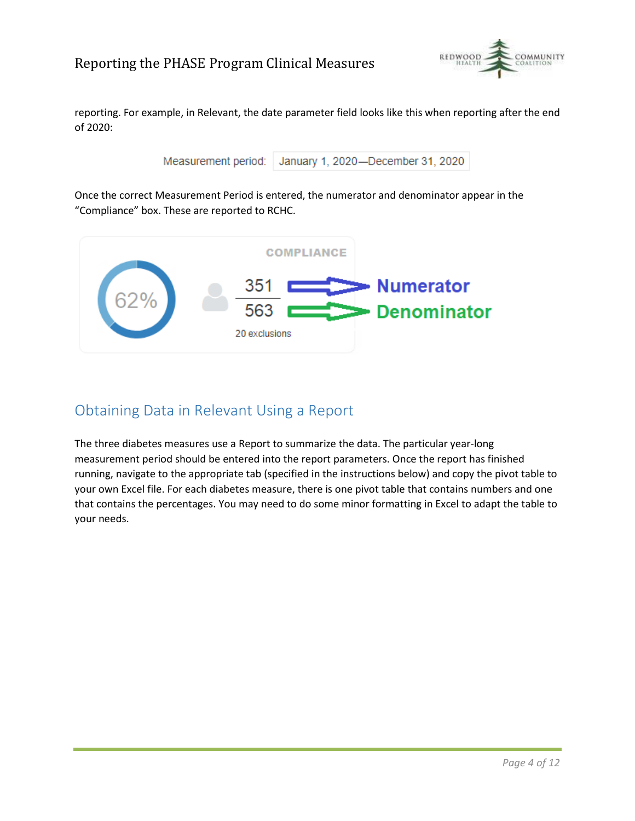

reporting. For example, in Relevant, the date parameter field looks like this when reporting after the end of 2020:

Measurement period: January 1, 2020-December 31, 2020

Once the correct Measurement Period is entered, the numerator and denominator appear in the "Compliance" box. These are reported to RCHC.



## Obtaining Data in Relevant Using a Report

The three diabetes measures use a Report to summarize the data. The particular year-long measurement period should be entered into the report parameters. Once the report has finished running, navigate to the appropriate tab (specified in the instructions below) and copy the pivot table to your own Excel file. For each diabetes measure, there is one pivot table that contains numbers and one that contains the percentages. You may need to do some minor formatting in Excel to adapt the table to your needs.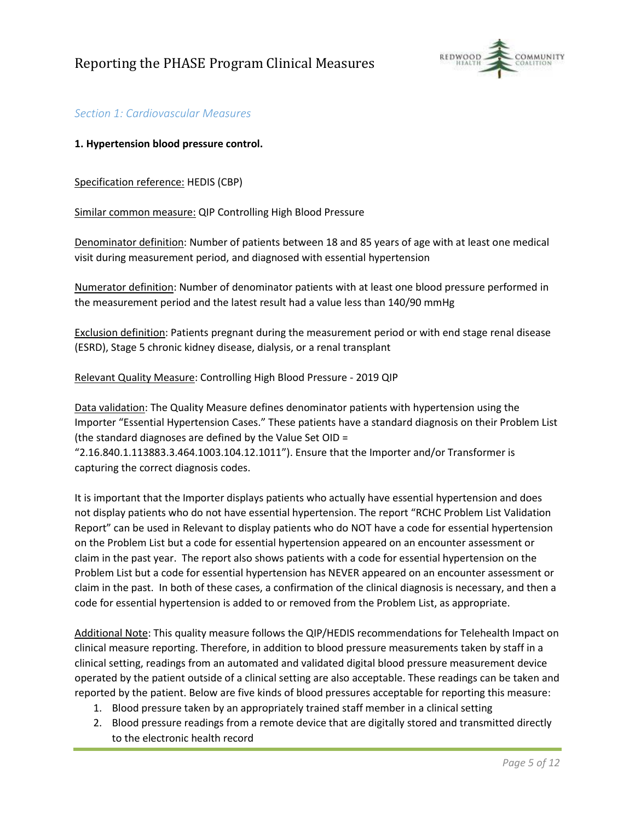

## *Section 1: Cardiovascular Measures*

#### **1. Hypertension blood pressure control.**

Specification reference: HEDIS (CBP)

Similar common measure: QIP Controlling High Blood Pressure

Denominator definition: Number of patients between 18 and 85 years of age with at least one medical visit during measurement period, and diagnosed with essential hypertension

Numerator definition: Number of denominator patients with at least one blood pressure performed in the measurement period and the latest result had a value less than 140/90 mmHg

Exclusion definition: Patients pregnant during the measurement period or with end stage renal disease (ESRD), Stage 5 chronic kidney disease, dialysis, or a renal transplant

#### Relevant Quality Measure: Controlling High Blood Pressure - 2019 QIP

Data validation: The Quality Measure defines denominator patients with hypertension using the Importer "Essential Hypertension Cases." These patients have a standard diagnosis on their Problem List (the standard diagnoses are defined by the Value Set OID =

"2.16.840.1.113883.3.464.1003.104.12.1011"). Ensure that the Importer and/or Transformer is capturing the correct diagnosis codes.

It is important that the Importer displays patients who actually have essential hypertension and does not display patients who do not have essential hypertension. The report "RCHC Problem List Validation Report" can be used in Relevant to display patients who do NOT have a code for essential hypertension on the Problem List but a code for essential hypertension appeared on an encounter assessment or claim in the past year. The report also shows patients with a code for essential hypertension on the Problem List but a code for essential hypertension has NEVER appeared on an encounter assessment or claim in the past. In both of these cases, a confirmation of the clinical diagnosis is necessary, and then a code for essential hypertension is added to or removed from the Problem List, as appropriate.

Additional Note: This quality measure follows the QIP/HEDIS recommendations for Telehealth Impact on clinical measure reporting. Therefore, in addition to blood pressure measurements taken by staff in a clinical setting, readings from an automated and validated digital blood pressure measurement device operated by the patient outside of a clinical setting are also acceptable. These readings can be taken and reported by the patient. Below are five kinds of blood pressures acceptable for reporting this measure:

- 1. Blood pressure taken by an appropriately trained staff member in a clinical setting
- 2. Blood pressure readings from a remote device that are digitally stored and transmitted directly to the electronic health record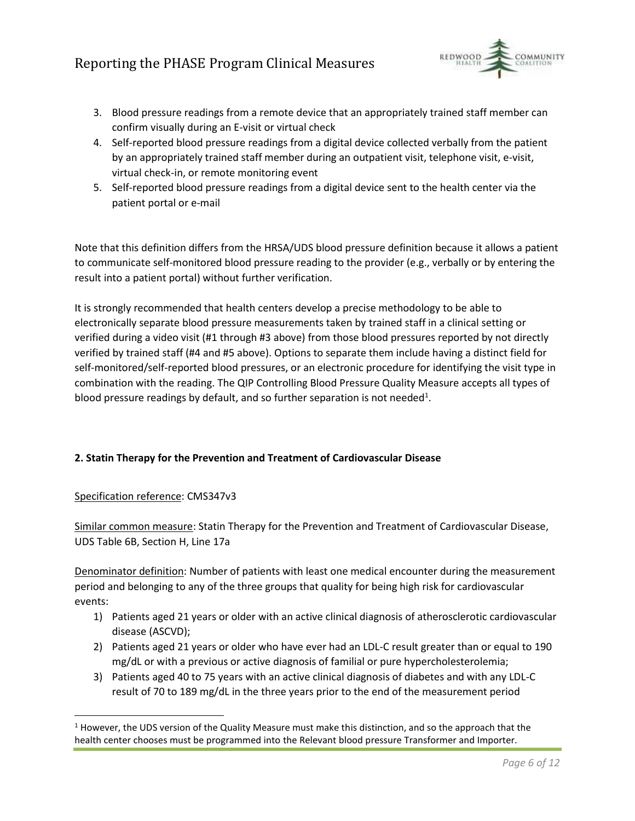

- 3. Blood pressure readings from a remote device that an appropriately trained staff member can confirm visually during an E-visit or virtual check
- 4. Self-reported blood pressure readings from a digital device collected verbally from the patient by an appropriately trained staff member during an outpatient visit, telephone visit, e-visit, virtual check-in, or remote monitoring event
- 5. Self-reported blood pressure readings from a digital device sent to the health center via the patient portal or e-mail

Note that this definition differs from the HRSA/UDS blood pressure definition because it allows a patient to communicate self-monitored blood pressure reading to the provider (e.g., verbally or by entering the result into a patient portal) without further verification.

It is strongly recommended that health centers develop a precise methodology to be able to electronically separate blood pressure measurements taken by trained staff in a clinical setting or verified during a video visit (#1 through #3 above) from those blood pressures reported by not directly verified by trained staff (#4 and #5 above). Options to separate them include having a distinct field for self-monitored/self-reported blood pressures, or an electronic procedure for identifying the visit type in combination with the reading. The QIP Controlling Blood Pressure Quality Measure accepts all types of blood pressure readings by default, and so further separation is not needed<sup>1</sup>.

## **2. Statin Therapy for the Prevention and Treatment of Cardiovascular Disease**

## Specification reference: CMS347v3

Similar common measure: Statin Therapy for the Prevention and Treatment of Cardiovascular Disease, UDS Table 6B, Section H, Line 17a

Denominator definition: Number of patients with least one medical encounter during the measurement period and belonging to any of the three groups that quality for being high risk for cardiovascular events:

- 1) Patients aged 21 years or older with an active clinical diagnosis of atherosclerotic cardiovascular disease (ASCVD);
- 2) Patients aged 21 years or older who have ever had an LDL-C result greater than or equal to 190 mg/dL or with a previous or active diagnosis of familial or pure hypercholesterolemia;
- 3) Patients aged 40 to 75 years with an active clinical diagnosis of diabetes and with any LDL-C result of 70 to 189 mg/dL in the three years prior to the end of the measurement period

 $1$  However, the UDS version of the Quality Measure must make this distinction, and so the approach that the health center chooses must be programmed into the Relevant blood pressure Transformer and Importer.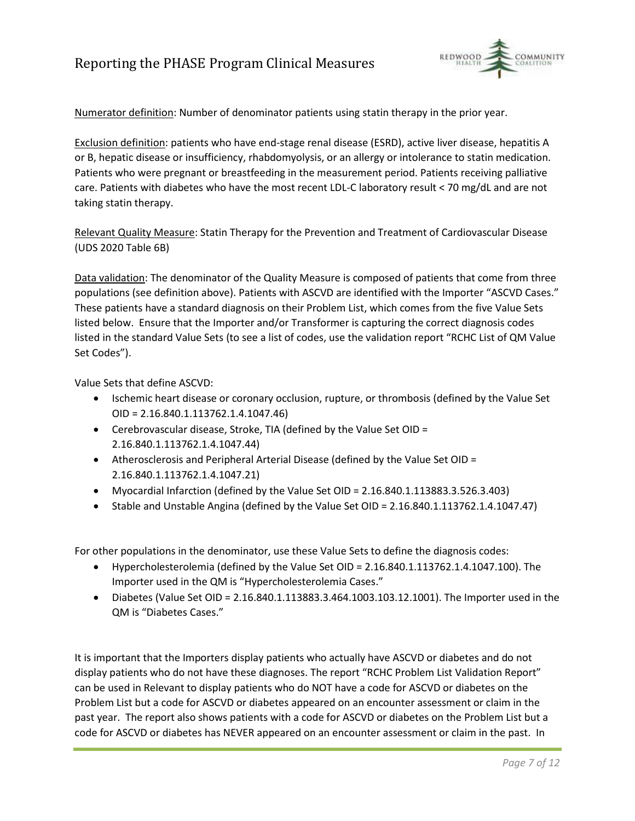

Numerator definition: Number of denominator patients using statin therapy in the prior year.

Exclusion definition: patients who have end-stage renal disease (ESRD), active liver disease, hepatitis A or B, hepatic disease or insufficiency, rhabdomyolysis, or an allergy or intolerance to statin medication. Patients who were pregnant or breastfeeding in the measurement period. Patients receiving palliative care. Patients with diabetes who have the most recent LDL-C laboratory result < 70 mg/dL and are not taking statin therapy.

Relevant Quality Measure: Statin Therapy for the Prevention and Treatment of Cardiovascular Disease (UDS 2020 Table 6B)

Data validation: The denominator of the Quality Measure is composed of patients that come from three populations (see definition above). Patients with ASCVD are identified with the Importer "ASCVD Cases." These patients have a standard diagnosis on their Problem List, which comes from the five Value Sets listed below. Ensure that the Importer and/or Transformer is capturing the correct diagnosis codes listed in the standard Value Sets (to see a list of codes, use the validation report "RCHC List of QM Value Set Codes").

Value Sets that define ASCVD:

- Ischemic heart disease or coronary occlusion, rupture, or thrombosis (defined by the Value Set OID = 2.16.840.1.113762.1.4.1047.46)
- Cerebrovascular disease, Stroke, TIA (defined by the Value Set OID = 2.16.840.1.113762.1.4.1047.44)
- Atherosclerosis and Peripheral Arterial Disease (defined by the Value Set OID = 2.16.840.1.113762.1.4.1047.21)
- Myocardial Infarction (defined by the Value Set OID = 2.16.840.1.113883.3.526.3.403)
- Stable and Unstable Angina (defined by the Value Set OID = 2.16.840.1.113762.1.4.1047.47)

For other populations in the denominator, use these Value Sets to define the diagnosis codes:

- Hypercholesterolemia (defined by the Value Set OID = 2.16.840.1.113762.1.4.1047.100). The Importer used in the QM is "Hypercholesterolemia Cases."
- Diabetes (Value Set OID = 2.16.840.1.113883.3.464.1003.103.12.1001). The Importer used in the QM is "Diabetes Cases."

It is important that the Importers display patients who actually have ASCVD or diabetes and do not display patients who do not have these diagnoses. The report "RCHC Problem List Validation Report" can be used in Relevant to display patients who do NOT have a code for ASCVD or diabetes on the Problem List but a code for ASCVD or diabetes appeared on an encounter assessment or claim in the past year. The report also shows patients with a code for ASCVD or diabetes on the Problem List but a code for ASCVD or diabetes has NEVER appeared on an encounter assessment or claim in the past. In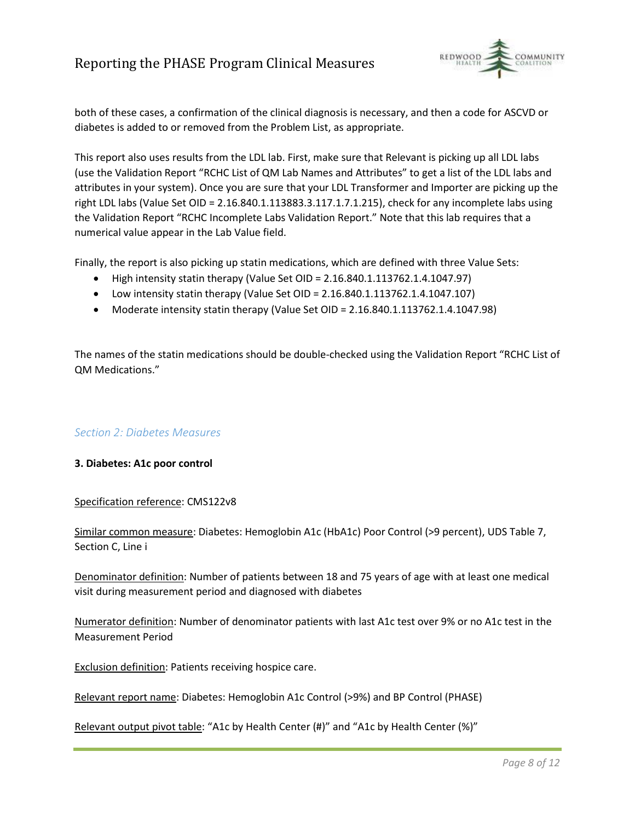

both of these cases, a confirmation of the clinical diagnosis is necessary, and then a code for ASCVD or diabetes is added to or removed from the Problem List, as appropriate.

This report also uses results from the LDL lab. First, make sure that Relevant is picking up all LDL labs (use the Validation Report "RCHC List of QM Lab Names and Attributes" to get a list of the LDL labs and attributes in your system). Once you are sure that your LDL Transformer and Importer are picking up the right LDL labs (Value Set OID = 2.16.840.1.113883.3.117.1.7.1.215), check for any incomplete labs using the Validation Report "RCHC Incomplete Labs Validation Report." Note that this lab requires that a numerical value appear in the Lab Value field.

Finally, the report is also picking up statin medications, which are defined with three Value Sets:

- High intensity statin therapy (Value Set OID = 2.16.840.1.113762.1.4.1047.97)
- Low intensity statin therapy (Value Set OID = 2.16.840.1.113762.1.4.1047.107)
- Moderate intensity statin therapy (Value Set OID = 2.16.840.1.113762.1.4.1047.98)

The names of the statin medications should be double-checked using the Validation Report "RCHC List of QM Medications."

#### *Section 2: Diabetes Measures*

#### **3. Diabetes: A1c poor control**

#### Specification reference: CMS122v8

Similar common measure: Diabetes: Hemoglobin A1c (HbA1c) Poor Control (>9 percent), UDS Table 7, Section C, Line i

Denominator definition: Number of patients between 18 and 75 years of age with at least one medical visit during measurement period and diagnosed with diabetes

Numerator definition: Number of denominator patients with last A1c test over 9% or no A1c test in the Measurement Period

Exclusion definition: Patients receiving hospice care.

Relevant report name: Diabetes: Hemoglobin A1c Control (>9%) and BP Control (PHASE)

Relevant output pivot table: "A1c by Health Center (#)" and "A1c by Health Center (%)"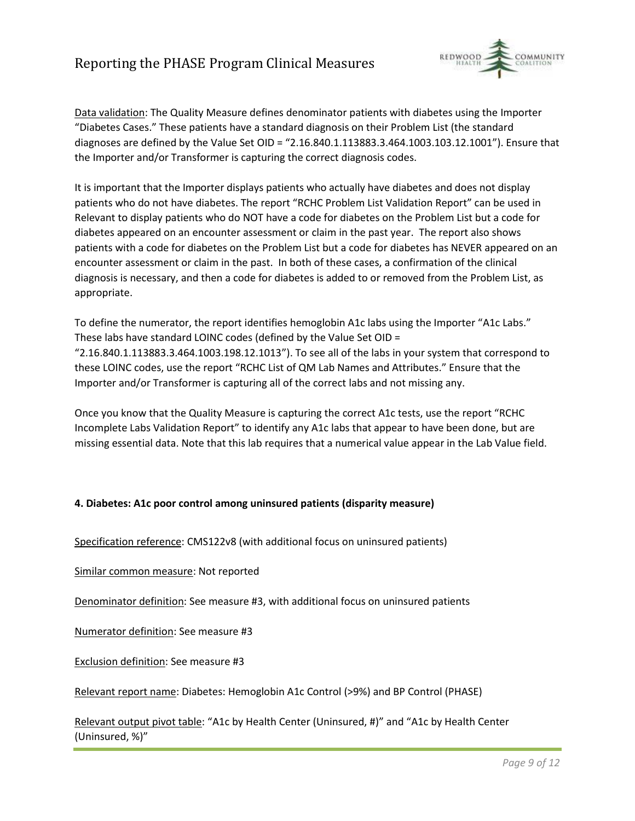

Data validation: The Quality Measure defines denominator patients with diabetes using the Importer "Diabetes Cases." These patients have a standard diagnosis on their Problem List (the standard diagnoses are defined by the Value Set OID = "2.16.840.1.113883.3.464.1003.103.12.1001"). Ensure that the Importer and/or Transformer is capturing the correct diagnosis codes.

It is important that the Importer displays patients who actually have diabetes and does not display patients who do not have diabetes. The report "RCHC Problem List Validation Report" can be used in Relevant to display patients who do NOT have a code for diabetes on the Problem List but a code for diabetes appeared on an encounter assessment or claim in the past year. The report also shows patients with a code for diabetes on the Problem List but a code for diabetes has NEVER appeared on an encounter assessment or claim in the past. In both of these cases, a confirmation of the clinical diagnosis is necessary, and then a code for diabetes is added to or removed from the Problem List, as appropriate.

To define the numerator, the report identifies hemoglobin A1c labs using the Importer "A1c Labs." These labs have standard LOINC codes (defined by the Value Set OID = "2.16.840.1.113883.3.464.1003.198.12.1013"). To see all of the labs in your system that correspond to these LOINC codes, use the report "RCHC List of QM Lab Names and Attributes." Ensure that the Importer and/or Transformer is capturing all of the correct labs and not missing any.

Once you know that the Quality Measure is capturing the correct A1c tests, use the report "RCHC Incomplete Labs Validation Report" to identify any A1c labs that appear to have been done, but are missing essential data. Note that this lab requires that a numerical value appear in the Lab Value field.

#### **4. Diabetes: A1c poor control among uninsured patients (disparity measure)**

Specification reference: CMS122v8 (with additional focus on uninsured patients)

Similar common measure: Not reported

Denominator definition: See measure #3, with additional focus on uninsured patients

Numerator definition: See measure #3

Exclusion definition: See measure #3

Relevant report name: Diabetes: Hemoglobin A1c Control (>9%) and BP Control (PHASE)

Relevant output pivot table: "A1c by Health Center (Uninsured, #)" and "A1c by Health Center (Uninsured, %)"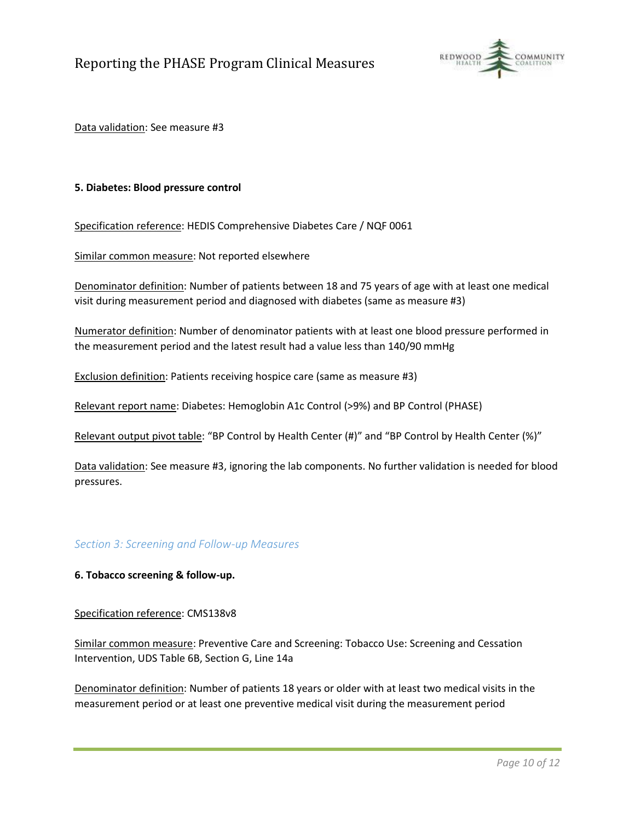

Data validation: See measure #3

#### **5. Diabetes: Blood pressure control**

Specification reference: HEDIS Comprehensive Diabetes Care / NQF 0061

Similar common measure: Not reported elsewhere

Denominator definition: Number of patients between 18 and 75 years of age with at least one medical visit during measurement period and diagnosed with diabetes (same as measure #3)

Numerator definition: Number of denominator patients with at least one blood pressure performed in the measurement period and the latest result had a value less than 140/90 mmHg

Exclusion definition: Patients receiving hospice care (same as measure #3)

Relevant report name: Diabetes: Hemoglobin A1c Control (>9%) and BP Control (PHASE)

Relevant output pivot table: "BP Control by Health Center (#)" and "BP Control by Health Center (%)"

Data validation: See measure #3, ignoring the lab components. No further validation is needed for blood pressures.

## *Section 3: Screening and Follow-up Measures*

**6. Tobacco screening & follow-up.** 

#### Specification reference: CMS138v8

Similar common measure: Preventive Care and Screening: Tobacco Use: Screening and Cessation Intervention, UDS Table 6B, Section G, Line 14a

Denominator definition: Number of patients 18 years or older with at least two medical visits in the measurement period or at least one preventive medical visit during the measurement period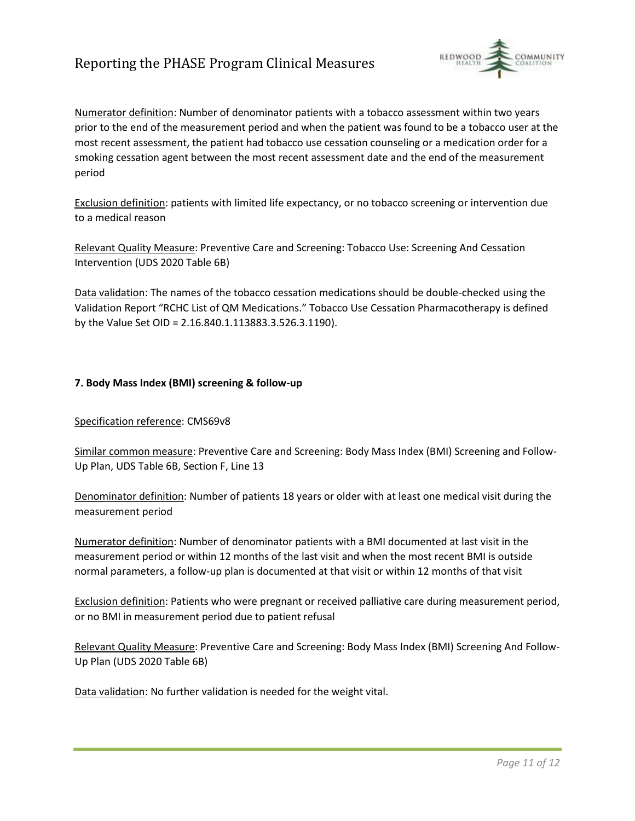

Numerator definition: Number of denominator patients with a tobacco assessment within two years prior to the end of the measurement period and when the patient was found to be a tobacco user at the most recent assessment, the patient had tobacco use cessation counseling or a medication order for a smoking cessation agent between the most recent assessment date and the end of the measurement period

Exclusion definition: patients with limited life expectancy, or no tobacco screening or intervention due to a medical reason

Relevant Quality Measure: Preventive Care and Screening: Tobacco Use: Screening And Cessation Intervention (UDS 2020 Table 6B)

Data validation: The names of the tobacco cessation medications should be double-checked using the Validation Report "RCHC List of QM Medications." Tobacco Use Cessation Pharmacotherapy is defined by the Value Set OID = 2.16.840.1.113883.3.526.3.1190).

#### **7. Body Mass Index (BMI) screening & follow-up**

#### Specification reference: CMS69v8

Similar common measure: Preventive Care and Screening: Body Mass Index (BMI) Screening and Follow-Up Plan, UDS Table 6B, Section F, Line 13

Denominator definition: Number of patients 18 years or older with at least one medical visit during the measurement period

Numerator definition: Number of denominator patients with a BMI documented at last visit in the measurement period or within 12 months of the last visit and when the most recent BMI is outside normal parameters, a follow-up plan is documented at that visit or within 12 months of that visit

Exclusion definition: Patients who were pregnant or received palliative care during measurement period, or no BMI in measurement period due to patient refusal

Relevant Quality Measure: Preventive Care and Screening: Body Mass Index (BMI) Screening And Follow-Up Plan (UDS 2020 Table 6B)

Data validation: No further validation is needed for the weight vital.